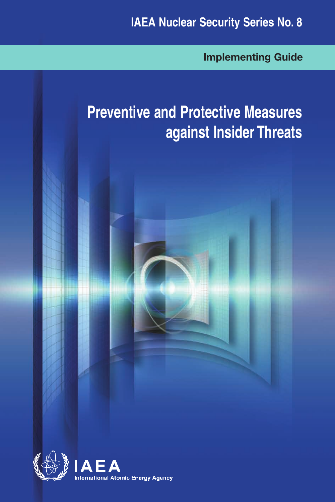**Implementing Guide**

# **Preventive and Protective Measures against Insider Threats**



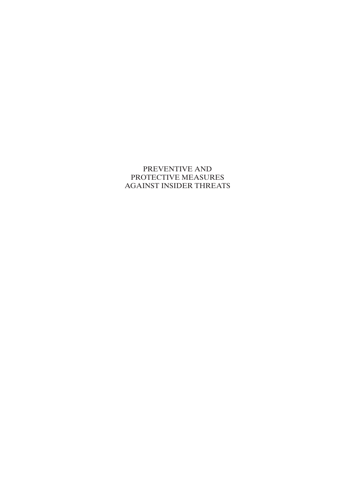## PREVENTIVE AND PROTECTIVE MEASURES AGAINST INSIDER THREATS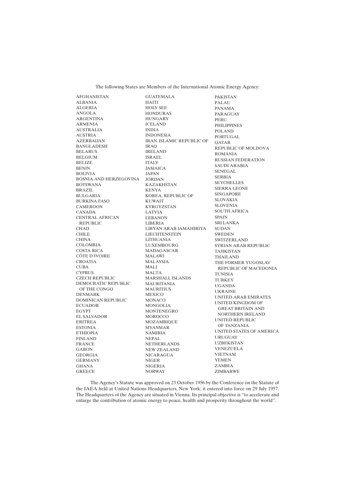The following States are Members of the International Atomic Energy Agency:

AFGHANISTAN ALBANIA ALGERIA ANGOLA ARGENTINA ARMENIA AUSTRALIA AUSTRIA AZERBAIJAN BANGLADESH BELARUS BELGIUM BELIZE BENIN BOLIVIA BOSNIA AND HERZEGOVINA JORDAN BOTSWANA BRAZIL BULGARIA BURKINA FASO CAMEROON CANADA CENTRAL AFRICAN REPUBLIC **CHAD** CHILE **CHINA** COLOMBIA COSTA RICA CÔTE D'IVOIRE CROATIA CUBA **CYPRUS** CZECH REPUBLIC DEMOCRATIC REPUBLIC OF THE CONGO DENMARK DOMINICAN REPUBLIC **ECUADOR** EGYPT EL SALVADOR ERITREA ESTONIA ETHIOPIA FINLAND FRANCE GABON GEORGIA GERMANY GHANA GREECE

GUATEMALA HAITI HOLY SEE HONDURAS HUNGARY ICELAND INDIA INDONESIA IRAN, ISLAMIC REPUBLIC OF IRAQ IRELAND ISRAEL ITALY JAMAICA JAPAN KAZAKHSTAN KENYA KOREA, REPUBLIC OF KUWAIT KYRGYZSTAN LATVIA LEBANON LIBERIA LIBYAN ARAB JAMAHIRIYA SUDAN **LIECHTENSTEIN** LITHUANIA LUXEMBOURG MADAGASCAR MALAWI MALAYSIA MALI MALTA MARSHALL ISLANDS MAURITANIA MAURITIUS MEXICO MONACO MONGOLIA MONTENEGRO MOROCCO MOZAMBIQUE MYANMAR NAMIBIA NEPAL NETHERLANDS NEW ZEALAND NICARAGUA NIGER NIGERIA NORWAY

PAKISTAN PALAU PANAMA PARAGUAY **PERU** PHILIPPINES POLAND PORTUGAL QATAR REPUBLIC OF MOLDOVA ROMANIA RUSSIAN FEDERATION SAUDI ARABIA SENEGAL SERBIA **SEYCHELLES** SIERRA LEONE SINGAPORE SLOVAKIA SLOVENIA SOUTH AFRICA SPAIN SRI LANKA **SWEDEN** SWITZERLAND SYRIAN ARAB REPUBLIC TAJIKISTAN THAILAND THE FORMER YUGOSLAV REPUBLIC OF MACEDONIA TUNISIA TURKEY UGANDA UKRAINE UNITED ARAB EMIRATES UNITED KINGDOM OF GREAT BRITAIN AND NORTHERN IRELAND UNITED REPUBLIC OF TANZANIA UNITED STATES OF AMERICA URUGUAY UZBEKISTAN VENEZUELA VIETNAM YEMEN ZAMBIA ZIMBABWE

The Agency's Statute was approved on 23 October 1956 by the Conference on the Statute of the IAEA held at United Nations Headquarters, New York; it entered into force on 29 July 1957. The Headquarters of the Agency are situated in Vienna. Its principal objective is "to accelerate and enlarge the contribution of atomic energy to peace, health and prosperity throughout the world''.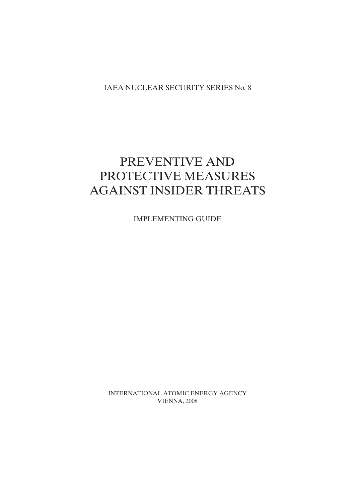IAEA NUCLEAR SECURITY SERIES No. 8

## PREVENTIVE AND PROTECTIVE MEASURES AGAINST INSIDER THREATS

IMPLEMENTING GUIDE

INTERNATIONAL ATOMIC ENERGY AGENCY VIENNA, 2008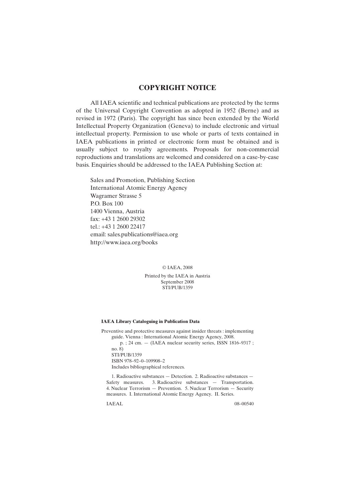## **COPYRIGHT NOTICE**

All IAEA scientific and technical publications are protected by the terms of the Universal Copyright Convention as adopted in 1952 (Berne) and as revised in 1972 (Paris). The copyright has since been extended by the World Intellectual Property Organization (Geneva) to include electronic and virtual intellectual property. Permission to use whole or parts of texts contained in IAEA publications in printed or electronic form must be obtained and is usually subject to royalty agreements. Proposals for non-commercial reproductions and translations are welcomed and considered on a case-by-case basis. Enquiries should be addressed to the IAEA Publishing Section at:

Sales and Promotion, Publishing Section International Atomic Energy Agency Wagramer Strasse 5 P.O. Box 100 1400 Vienna, Austria fax: +43 1 2600 29302 tel.: +43 1 2600 22417 email: sales.publications@iaea.org http://www.iaea.org/books

© IAEA, 2008

Printed by the IAEA in Austria September 2008 STI/PUB/1359

#### **IAEA Library Cataloguing in Publication Data**

Preventive and protective measures against insider threats : implementing guide. Vienna : International Atomic Energy Agency, 2008. p. ; 24 cm. — (IAEA nuclear security series, ISSN 1816–9317 ; no. 8) STI/PUB/1359 ISBN 978–92–0–109908–2 Includes bibliographical references.

1. Radioactive substances — Detection. 2. Radioactive substances — Safety measures. 3. Radioactive substances — Transportation. 4. Nuclear Terrorism — Prevention. 5. Nuclear Terrorism — Security measures. I. International Atomic Energy Agency. II. Series.

IAEAL 08–00540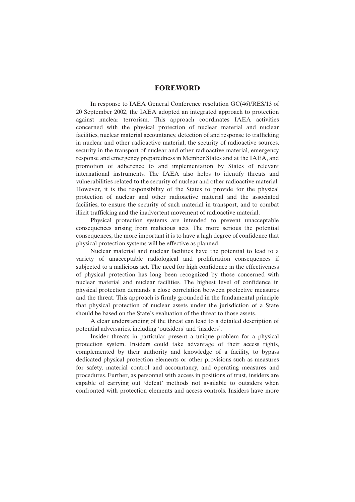## **FOREWORD**

In response to IAEA General Conference resolution GC(46)/RES/13 of 20 September 2002, the IAEA adopted an integrated approach to protection against nuclear terrorism. This approach coordinates IAEA activities concerned with the physical protection of nuclear material and nuclear facilities, nuclear material accountancy, detection of and response to trafficking in nuclear and other radioactive material, the security of radioactive sources, security in the transport of nuclear and other radioactive material, emergency response and emergency preparedness in Member States and at the IAEA, and promotion of adherence to and implementation by States of relevant international instruments. The IAEA also helps to identify threats and vulnerabilities related to the security of nuclear and other radioactive material. However, it is the responsibility of the States to provide for the physical protection of nuclear and other radioactive material and the associated facilities, to ensure the security of such material in transport, and to combat illicit trafficking and the inadvertent movement of radioactive material.

Physical protection systems are intended to prevent unacceptable consequences arising from malicious acts. The more serious the potential consequences, the more important it is to have a high degree of confidence that physical protection systems will be effective as planned.

Nuclear material and nuclear facilities have the potential to lead to a variety of unacceptable radiological and proliferation consequences if subjected to a malicious act. The need for high confidence in the effectiveness of physical protection has long been recognized by those concerned with nuclear material and nuclear facilities. The highest level of confidence in physical protection demands a close correlation between protective measures and the threat. This approach is firmly grounded in the fundamental principle that physical protection of nuclear assets under the jurisdiction of a State should be based on the State's evaluation of the threat to those assets.

A clear understanding of the threat can lead to a detailed description of potential adversaries, including 'outsiders' and 'insiders'.

Insider threats in particular present a unique problem for a physical protection system. Insiders could take advantage of their access rights, complemented by their authority and knowledge of a facility, to bypass dedicated physical protection elements or other provisions such as measures for safety, material control and accountancy, and operating measures and procedures. Further, as personnel with access in positions of trust, insiders are capable of carrying out 'defeat' methods not available to outsiders when confronted with protection elements and access controls. Insiders have more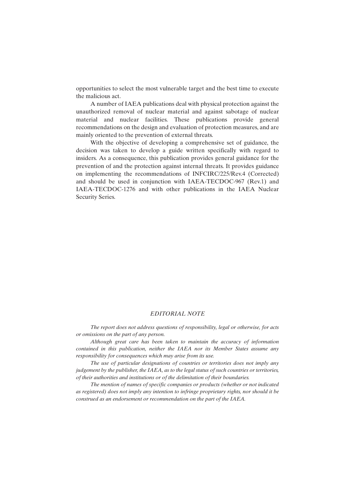opportunities to select the most vulnerable target and the best time to execute the malicious act.

A number of IAEA publications deal with physical protection against the unauthorized removal of nuclear material and against sabotage of nuclear material and nuclear facilities. These publications provide general recommendations on the design and evaluation of protection measures, and are mainly oriented to the prevention of external threats.

With the objective of developing a comprehensive set of guidance, the decision was taken to develop a guide written specifically with regard to insiders. As a consequence, this publication provides general guidance for the prevention of and the protection against internal threats. It provides guidance on implementing the recommendations of INFCIRC/225/Rev.4 (Corrected) and should be used in conjunction with IAEA-TECDOC-967 (Rev.1) and IAEA-TECDOC-1276 and with other publications in the IAEA Nuclear Security Series.

#### *EDITORIAL NOTE*

*The report does not address questions of responsibility, legal or otherwise, for acts or omissions on the part of any person.*

*Although great care has been taken to maintain the accuracy of information contained in this publication, neither the IAEA nor its Member States assume any responsibility for consequences which may arise from its use.*

*The use of particular designations of countries or territories does not imply any judgement by the publisher, the IAEA, as to the legal status of such countries or territories, of their authorities and institutions or of the delimitation of their boundaries.*

*The mention of names of specific companies or products (whether or not indicated as registered) does not imply any intention to infringe proprietary rights, nor should it be construed as an endorsement or recommendation on the part of the IAEA.*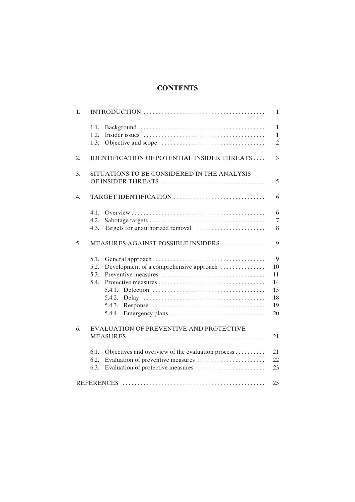## **CONTENTS**

| 1. |                                                                                                       | $\mathbf{1}$                                   |
|----|-------------------------------------------------------------------------------------------------------|------------------------------------------------|
|    | 1.1.<br>1.2.<br>1.3.                                                                                  | $\mathbf{1}$<br>$\mathbf{1}$<br>$\overline{2}$ |
| 2. | <b>IDENTIFICATION OF POTENTIAL INSIDER THREATS </b>                                                   | 3                                              |
| 3. | SITUATIONS TO BE CONSIDERED IN THE ANALYSIS                                                           | 5                                              |
| 4. |                                                                                                       | 6                                              |
| 5. | 4.1.<br>4.2.<br>Targets for unauthorized removal<br>4.3.<br>MEASURES AGAINST POSSIBLE INSIDERS        | 6<br>$\overline{7}$<br>8<br>9                  |
|    | 5.1.<br>5.2.<br>Development of a comprehensive approach<br>5.3.<br>5.4.<br>5.4.2.<br>5.4.3.<br>5.4.4. | 9<br>10<br>11<br>14<br>15<br>18<br>19<br>20    |
| 6. | EVALUATION OF PREVENTIVE AND PROTECTIVE                                                               | 21                                             |
|    | Objectives and overview of the evaluation process<br>6.1.<br>6.2.<br>6.3.                             | 21<br>22<br>23                                 |
|    |                                                                                                       | 25                                             |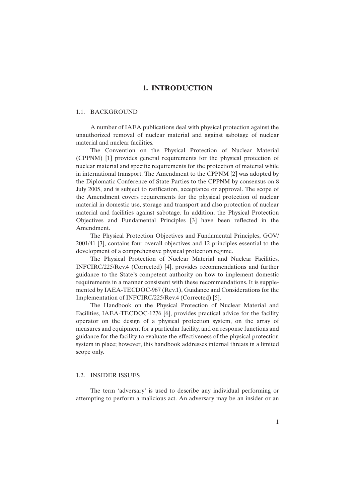## **1. INTRODUCTION**

#### 1.1. BACKGROUND

A number of IAEA publications deal with physical protection against the unauthorized removal of nuclear material and against sabotage of nuclear material and nuclear facilities.

The Convention on the Physical Protection of Nuclear Material (CPPNM) [1] provides general requirements for the physical protection of nuclear material and specific requirements for the protection of material while in international transport. The Amendment to the CPPNM [2] was adopted by the Diplomatic Conference of State Parties to the CPPNM by consensus on 8 July 2005, and is subject to ratification, acceptance or approval. The scope of the Amendment covers requirements for the physical protection of nuclear material in domestic use, storage and transport and also protection of nuclear material and facilities against sabotage. In addition, the Physical Protection Objectives and Fundamental Principles [3] have been reflected in the Amendment.

The Physical Protection Objectives and Fundamental Principles, GOV/ 2001/41 [3], contains four overall objectives and 12 principles essential to the development of a comprehensive physical protection regime.

The Physical Protection of Nuclear Material and Nuclear Facilities, INFCIRC/225/Rev.4 (Corrected) [4], provides recommendations and further guidance to the State's competent authority on how to implement domestic requirements in a manner consistent with these recommendations. It is supplemented by IAEA-TECDOC-967 (Rev.1), Guidance and Considerations for the Implementation of INFCIRC/225/Rev.4 (Corrected) [5].

The Handbook on the Physical Protection of Nuclear Material and Facilities, IAEA-TECDOC-1276 [6], provides practical advice for the facility operator on the design of a physical protection system, on the array of measures and equipment for a particular facility, and on response functions and guidance for the facility to evaluate the effectiveness of the physical protection system in place; however, this handbook addresses internal threats in a limited scope only.

## 1.2. INSIDER ISSUES

The term 'adversary' is used to describe any individual performing or attempting to perform a malicious act. An adversary may be an insider or an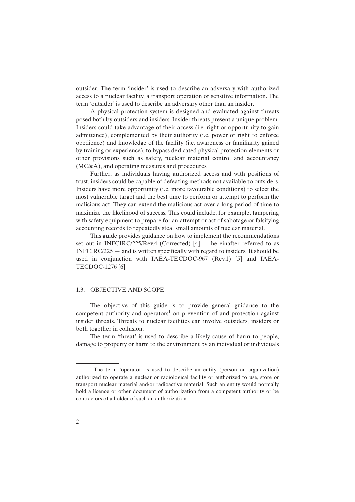outsider. The term 'insider' is used to describe an adversary with authorized access to a nuclear facility, a transport operation or sensitive information. The term 'outsider' is used to describe an adversary other than an insider.

A physical protection system is designed and evaluated against threats posed both by outsiders and insiders. Insider threats present a unique problem. Insiders could take advantage of their access (i.e. right or opportunity to gain admittance), complemented by their authority (i.e. power or right to enforce obedience) and knowledge of the facility (i.e. awareness or familiarity gained by training or experience), to bypass dedicated physical protection elements or other provisions such as safety, nuclear material control and accountancy (MC&A), and operating measures and procedures.

Further, as individuals having authorized access and with positions of trust, insiders could be capable of defeating methods not available to outsiders. Insiders have more opportunity (i.e. more favourable conditions) to select the most vulnerable target and the best time to perform or attempt to perform the malicious act. They can extend the malicious act over a long period of time to maximize the likelihood of success. This could include, for example, tampering with safety equipment to prepare for an attempt or act of sabotage or falsifying accounting records to repeatedly steal small amounts of nuclear material.

This guide provides guidance on how to implement the recommendations set out in INFCIRC/225/Rev.4 (Corrected) [4] — hereinafter referred to as INFCIRC/225 — and is written specifically with regard to insiders. It should be used in conjunction with IAEA-TECDOC-967 (Rev.1) [5] and IAEA-TECDOC-1276 [6].

#### 1.3. OBJECTIVE AND SCOPE

The objective of this guide is to provide general guidance to the competent authority and operators<sup>1</sup> on prevention of and protection against insider threats. Threats to nuclear facilities can involve outsiders, insiders or both together in collusion.

The term 'threat' is used to describe a likely cause of harm to people, damage to property or harm to the environment by an individual or individuals

<sup>&</sup>lt;sup>1</sup> The term 'operator' is used to describe an entity (person or organization) authorized to operate a nuclear or radiological facility or authorized to use, store or transport nuclear material and/or radioactive material. Such an entity would normally hold a licence or other document of authorization from a competent authority or be contractors of a holder of such an authorization.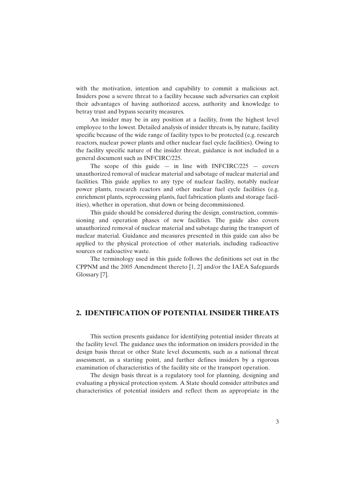with the motivation, intention and capability to commit a malicious act. Insiders pose a severe threat to a facility because such adversaries can exploit their advantages of having authorized access, authority and knowledge to betray trust and bypass security measures.

An insider may be in any position at a facility, from the highest level employee to the lowest. Detailed analysis of insider threats is, by nature, facility specific because of the wide range of facility types to be protected (e.g. research reactors, nuclear power plants and other nuclear fuel cycle facilities). Owing to the facility specific nature of the insider threat, guidance is not included in a general document such as INFCIRC/225.

The scope of this guide  $-$  in line with INFCIRC/225  $-$  covers unauthorized removal of nuclear material and sabotage of nuclear material and facilities. This guide applies to any type of nuclear facility, notably nuclear power plants, research reactors and other nuclear fuel cycle facilities (e.g. enrichment plants, reprocessing plants, fuel fabrication plants and storage facilities), whether in operation, shut down or being decommissioned.

This guide should be considered during the design, construction, commissioning and operation phases of new facilities. The guide also covers unauthorized removal of nuclear material and sabotage during the transport of nuclear material. Guidance and measures presented in this guide can also be applied to the physical protection of other materials, including radioactive sources or radioactive waste.

The terminology used in this guide follows the definitions set out in the CPPNM and the 2005 Amendment thereto [1, 2] and/or the IAEA Safeguards Glossary [7].

## **2. IDENTIFICATION OF POTENTIAL INSIDER THREATS**

This section presents guidance for identifying potential insider threats at the facility level. The guidance uses the information on insiders provided in the design basis threat or other State level documents, such as a national threat assessment, as a starting point, and further defines insiders by a rigorous examination of characteristics of the facility site or the transport operation.

The design basis threat is a regulatory tool for planning, designing and evaluating a physical protection system. A State should consider attributes and characteristics of potential insiders and reflect them as appropriate in the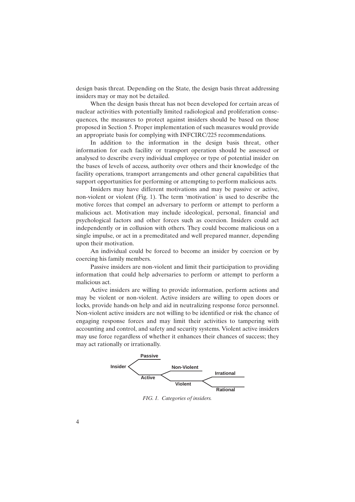design basis threat. Depending on the State, the design basis threat addressing insiders may or may not be detailed.

When the design basis threat has not been developed for certain areas of nuclear activities with potentially limited radiological and proliferation consequences, the measures to protect against insiders should be based on those proposed in Section 5. Proper implementation of such measures would provide an appropriate basis for complying with INFCIRC/225 recommendations.

In addition to the information in the design basis threat, other information for each facility or transport operation should be assessed or analysed to describe every individual employee or type of potential insider on the bases of levels of access, authority over others and their knowledge of the facility operations, transport arrangements and other general capabilities that support opportunities for performing or attempting to perform malicious acts.

Insiders may have different motivations and may be passive or active, non-violent or violent (Fig. 1). The term 'motivation' is used to describe the motive forces that compel an adversary to perform or attempt to perform a malicious act. Motivation may include ideological, personal, financial and psychological factors and other forces such as coercion. Insiders could act independently or in collusion with others. They could become malicious on a single impulse, or act in a premeditated and well prepared manner, depending upon their motivation.

An individual could be forced to become an insider by coercion or by coercing his family members.

Passive insiders are non-violent and limit their participation to providing information that could help adversaries to perform or attempt to perform a malicious act.

Active insiders are willing to provide information, perform actions and may be violent or non-violent. Active insiders are willing to open doors or locks, provide hands-on help and aid in neutralizing response force personnel. Non-violent active insiders are not willing to be identified or risk the chance of engaging response forces and may limit their activities to tampering with accounting and control, and safety and security systems. Violent active insiders may use force regardless of whether it enhances their chances of success; they may act rationally or irrationally.



*FIG. 1. Categories of insiders.*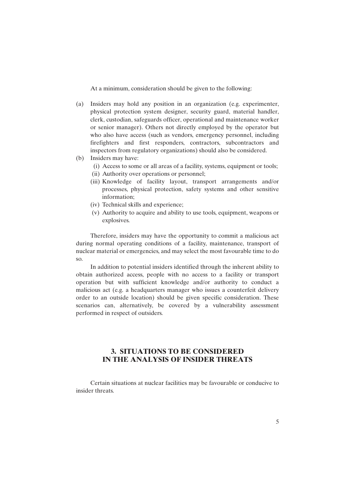At a minimum, consideration should be given to the following:

- (a) Insiders may hold any position in an organization (e.g. experimenter, physical protection system designer, security guard, material handler, clerk, custodian, safeguards officer, operational and maintenance worker or senior manager). Others not directly employed by the operator but who also have access (such as vendors, emergency personnel, including firefighters and first responders, contractors, subcontractors and inspectors from regulatory organizations) should also be considered.
- (b) Insiders may have:
	- (i) Access to some or all areas of a facility, systems, equipment or tools;
	- (ii) Authority over operations or personnel;
	- (iii) Knowledge of facility layout, transport arrangements and/or processes, physical protection, safety systems and other sensitive information;
	- (iv) Technical skills and experience;
	- (v) Authority to acquire and ability to use tools, equipment, weapons or explosives.

Therefore, insiders may have the opportunity to commit a malicious act during normal operating conditions of a facility, maintenance, transport of nuclear material or emergencies, and may select the most favourable time to do so.

In addition to potential insiders identified through the inherent ability to obtain authorized access, people with no access to a facility or transport operation but with sufficient knowledge and/or authority to conduct a malicious act (e.g. a headquarters manager who issues a counterfeit delivery order to an outside location) should be given specific consideration. These scenarios can, alternatively, be covered by a vulnerability assessment performed in respect of outsiders.

## **3. SITUATIONS TO BE CONSIDERED IN THE ANALYSIS OF INSIDER THREATS**

Certain situations at nuclear facilities may be favourable or conducive to insider threats.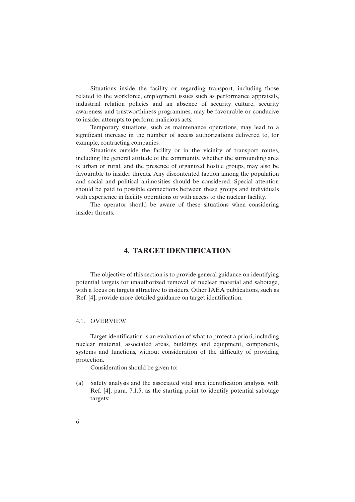Situations inside the facility or regarding transport, including those related to the workforce, employment issues such as performance appraisals, industrial relation policies and an absence of security culture, security awareness and trustworthiness programmes, may be favourable or conducive to insider attempts to perform malicious acts.

Temporary situations, such as maintenance operations, may lead to a significant increase in the number of access authorizations delivered to, for example, contracting companies.

Situations outside the facility or in the vicinity of transport routes, including the general attitude of the community, whether the surrounding area is urban or rural, and the presence of organized hostile groups, may also be favourable to insider threats. Any discontented faction among the population and social and political animosities should be considered. Special attention should be paid to possible connections between these groups and individuals with experience in facility operations or with access to the nuclear facility.

The operator should be aware of these situations when considering insider threats.

## **4. TARGET IDENTIFICATION**

The objective of this section is to provide general guidance on identifying potential targets for unauthorized removal of nuclear material and sabotage, with a focus on targets attractive to insiders. Other IAEA publications, such as Ref. [4], provide more detailed guidance on target identification.

## 4.1. OVERVIEW

Target identification is an evaluation of what to protect a priori, including nuclear material, associated areas, buildings and equipment, components, systems and functions, without consideration of the difficulty of providing protection.

Consideration should be given to:

(a) Safety analysis and the associated vital area identification analysis, with Ref. [4], para. 7.1.5, as the starting point to identify potential sabotage targets;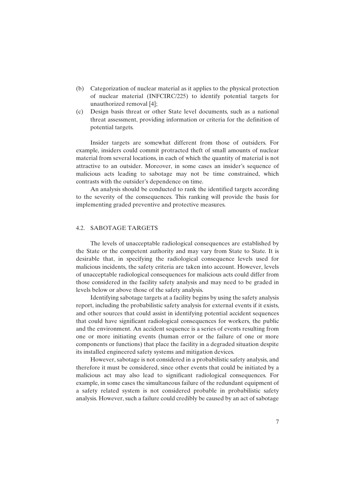- (b) Categorization of nuclear material as it applies to the physical protection of nuclear material (INFCIRC/225) to identify potential targets for unauthorized removal [4];
- (c) Design basis threat or other State level documents, such as a national threat assessment, providing information or criteria for the definition of potential targets.

Insider targets are somewhat different from those of outsiders. For example, insiders could commit protracted theft of small amounts of nuclear material from several locations, in each of which the quantity of material is not attractive to an outsider. Moreover, in some cases an insider's sequence of malicious acts leading to sabotage may not be time constrained, which contrasts with the outsider's dependence on time.

An analysis should be conducted to rank the identified targets according to the severity of the consequences. This ranking will provide the basis for implementing graded preventive and protective measures.

#### 4.2. SABOTAGE TARGETS

The levels of unacceptable radiological consequences are established by the State or the competent authority and may vary from State to State. It is desirable that, in specifying the radiological consequence levels used for malicious incidents, the safety criteria are taken into account. However, levels of unacceptable radiological consequences for malicious acts could differ from those considered in the facility safety analysis and may need to be graded in levels below or above those of the safety analysis.

Identifying sabotage targets at a facility begins by using the safety analysis report, including the probabilistic safety analysis for external events if it exists, and other sources that could assist in identifying potential accident sequences that could have significant radiological consequences for workers, the public and the environment. An accident sequence is a series of events resulting from one or more initiating events (human error or the failure of one or more components or functions) that place the facility in a degraded situation despite its installed engineered safety systems and mitigation devices.

However, sabotage is not considered in a probabilistic safety analysis, and therefore it must be considered, since other events that could be initiated by a malicious act may also lead to significant radiological consequences. For example, in some cases the simultaneous failure of the redundant equipment of a safety related system is not considered probable in probabilistic safety analysis. However, such a failure could credibly be caused by an act of sabotage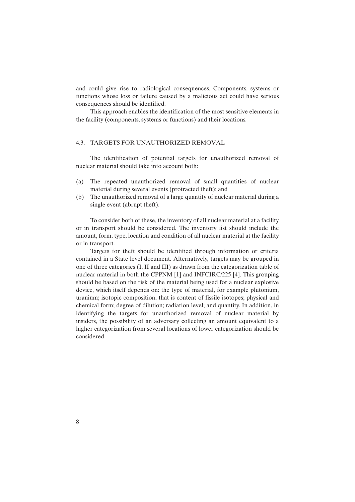and could give rise to radiological consequences. Components, systems or functions whose loss or failure caused by a malicious act could have serious consequences should be identified.

This approach enables the identification of the most sensitive elements in the facility (components, systems or functions) and their locations.

## 4.3. TARGETS FOR UNAUTHORIZED REMOVAL

The identification of potential targets for unauthorized removal of nuclear material should take into account both:

- (a) The repeated unauthorized removal of small quantities of nuclear material during several events (protracted theft); and
- (b) The unauthorized removal of a large quantity of nuclear material during a single event (abrupt theft).

To consider both of these, the inventory of all nuclear material at a facility or in transport should be considered. The inventory list should include the amount, form, type, location and condition of all nuclear material at the facility or in transport.

Targets for theft should be identified through information or criteria contained in a State level document. Alternatively, targets may be grouped in one of three categories (I, II and III) as drawn from the categorization table of nuclear material in both the CPPNM [1] and INFCIRC/225 [4]. This grouping should be based on the risk of the material being used for a nuclear explosive device, which itself depends on: the type of material, for example plutonium, uranium; isotopic composition, that is content of fissile isotopes; physical and chemical form; degree of dilution; radiation level; and quantity. In addition, in identifying the targets for unauthorized removal of nuclear material by insiders, the possibility of an adversary collecting an amount equivalent to a higher categorization from several locations of lower categorization should be considered.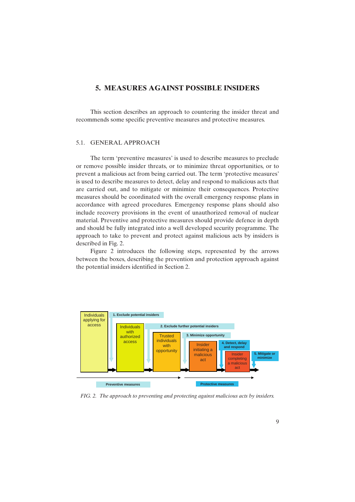## **5. MEASURES AGAINST POSSIBLE INSIDERS**

This section describes an approach to countering the insider threat and recommends some specific preventive measures and protective measures.

## 5.1. GENERAL APPROACH

The term 'preventive measures' is used to describe measures to preclude or remove possible insider threats, or to minimize threat opportunities, or to prevent a malicious act from being carried out. The term 'protective measures' is used to describe measures to detect, delay and respond to malicious acts that are carried out, and to mitigate or minimize their consequences. Protective measures should be coordinated with the overall emergency response plans in accordance with agreed procedures. Emergency response plans should also include recovery provisions in the event of unauthorized removal of nuclear material. Preventive and protective measures should provide defence in depth and should be fully integrated into a well developed security programme. The approach to take to prevent and protect against malicious acts by insiders is described in Fig. 2.

Figure 2 introduces the following steps, represented by the arrows between the boxes, describing the prevention and protection approach against the potential insiders identified in Section 2.



*FIG. 2. The approach to preventing and protecting against malicious acts by insiders.*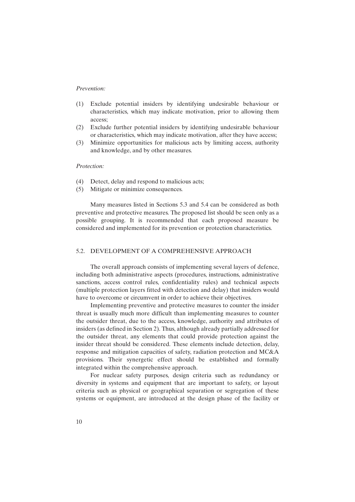## *Prevention:*

- (1) Exclude potential insiders by identifying undesirable behaviour or characteristics, which may indicate motivation, prior to allowing them access;
- (2) Exclude further potential insiders by identifying undesirable behaviour or characteristics, which may indicate motivation, after they have access;
- (3) Minimize opportunities for malicious acts by limiting access, authority and knowledge, and by other measures.

## *Protection:*

- (4) Detect, delay and respond to malicious acts;
- (5) Mitigate or minimize consequences.

Many measures listed in Sections 5.3 and 5.4 can be considered as both preventive and protective measures. The proposed list should be seen only as a possible grouping. It is recommended that each proposed measure be considered and implemented for its prevention or protection characteristics.

## 5.2. DEVELOPMENT OF A COMPREHENSIVE APPROACH

The overall approach consists of implementing several layers of defence, including both administrative aspects (procedures, instructions, administrative sanctions, access control rules, confidentiality rules) and technical aspects (multiple protection layers fitted with detection and delay) that insiders would have to overcome or circumvent in order to achieve their objectives.

Implementing preventive and protective measures to counter the insider threat is usually much more difficult than implementing measures to counter the outsider threat, due to the access, knowledge, authority and attributes of insiders (as defined in Section 2). Thus, although already partially addressed for the outsider threat, any elements that could provide protection against the insider threat should be considered. These elements include detection, delay, response and mitigation capacities of safety, radiation protection and MC&A provisions. Their synergetic effect should be established and formally integrated within the comprehensive approach.

For nuclear safety purposes, design criteria such as redundancy or diversity in systems and equipment that are important to safety, or layout criteria such as physical or geographical separation or segregation of these systems or equipment, are introduced at the design phase of the facility or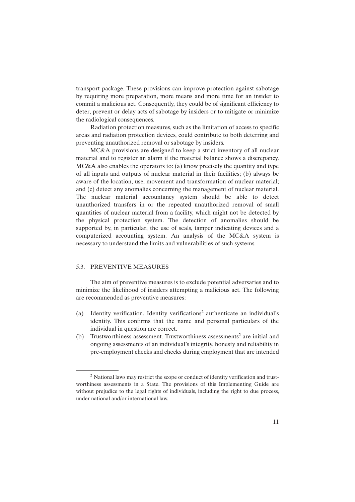transport package. These provisions can improve protection against sabotage by requiring more preparation, more means and more time for an insider to commit a malicious act. Consequently, they could be of significant efficiency to deter, prevent or delay acts of sabotage by insiders or to mitigate or minimize the radiological consequences.

Radiation protection measures, such as the limitation of access to specific areas and radiation protection devices, could contribute to both deterring and preventing unauthorized removal or sabotage by insiders.

MC&A provisions are designed to keep a strict inventory of all nuclear material and to register an alarm if the material balance shows a discrepancy. MC&A also enables the operators to: (a) know precisely the quantity and type of all inputs and outputs of nuclear material in their facilities; (b) always be aware of the location, use, movement and transformation of nuclear material; and (c) detect any anomalies concerning the management of nuclear material. The nuclear material accountancy system should be able to detect unauthorized transfers in or the repeated unauthorized removal of small quantities of nuclear material from a facility, which might not be detected by the physical protection system. The detection of anomalies should be supported by, in particular, the use of seals, tamper indicating devices and a computerized accounting system. An analysis of the MC&A system is necessary to understand the limits and vulnerabilities of such systems.

## 5.3. PREVENTIVE MEASURES

The aim of preventive measures is to exclude potential adversaries and to minimize the likelihood of insiders attempting a malicious act. The following are recommended as preventive measures:

- (a) Identity verification. Identity verifications<sup>2</sup> authenticate an individual's identity. This confirms that the name and personal particulars of the individual in question are correct.
- (b) Trustworthiness assessment. Trustworthiness assessments<sup>2</sup> are initial and ongoing assessments of an individual's integrity, honesty and reliability in pre-employment checks and checks during employment that are intended

<sup>&</sup>lt;sup>2</sup> National laws may restrict the scope or conduct of identity verification and trustworthiness assessments in a State. The provisions of this Implementing Guide are without prejudice to the legal rights of individuals, including the right to due process, under national and/or international law.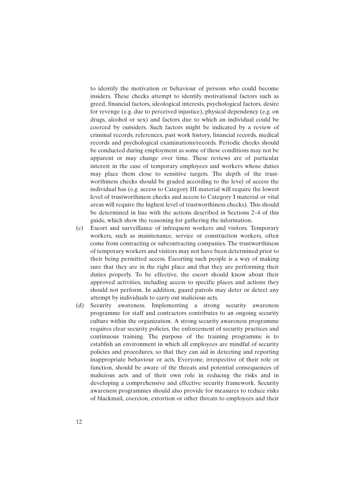to identify the motivation or behaviour of persons who could become insiders. These checks attempt to identify motivational factors such as greed, financial factors, ideological interests, psychological factors, desire for revenge (e.g. due to perceived injustice), physical dependency (e.g. on drugs, alcohol or sex) and factors due to which an individual could be coerced by outsiders. Such factors might be indicated by a review of criminal records, references, past work history, financial records, medical records and psychological examinations/records. Periodic checks should be conducted during employment as some of these conditions may not be apparent or may change over time. These reviews are of particular interest in the case of temporary employees and workers whose duties may place them close to sensitive targets. The depth of the trustworthiness checks should be graded according to the level of access the individual has (e.g. access to Category III material will require the lowest level of trustworthiness checks and access to Category I material or vital areas will require the highest level of trustworthiness checks). This should be determined in line with the actions described in Sections 2–4 of this guide, which show the reasoning for gathering the information.

- (c) Escort and surveillance of infrequent workers and visitors. Temporary workers, such as maintenance, service or construction workers, often come from contracting or subcontracting companies. The trustworthiness of temporary workers and visitors may not have been determined prior to their being permitted access. Escorting such people is a way of making sure that they are in the right place and that they are performing their duties properly. To be effective, the escort should know about their approved activities, including access to specific places and actions they should not perform. In addition, guard patrols may deter or detect any attempt by individuals to carry out malicious acts.
- (d) Security awareness. Implementing a strong security awareness programme for staff and contractors contributes to an ongoing security culture within the organization. A strong security awareness programme requires clear security policies, the enforcement of security practices and continuous training. The purpose of the training programme is to establish an environment in which all employees are mindful of security policies and procedures, so that they can aid in detecting and reporting inappropriate behaviour or acts. Everyone, irrespective of their role or function, should be aware of the threats and potential consequences of malicious acts and of their own role in reducing the risks and in developing a comprehensive and effective security framework. Security awareness programmes should also provide for measures to reduce risks of blackmail, coercion, extortion or other threats to employees and their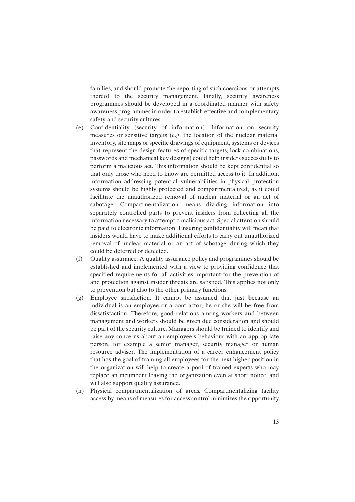families, and should promote the reporting of such coercions or attempts thereof to the security management. Finally, security awareness programmes should be developed in a coordinated manner with safety awareness programmes in order to establish effective and complementary safety and security cultures.

- (e) Confidentiality (security of information). Information on security measures or sensitive targets (e.g. the location of the nuclear material inventory, site maps or specific drawings of equipment, systems or devices that represent the design features of specific targets, lock combinations, passwords and mechanical key designs) could help insiders successfully to perform a malicious act. This information should be kept confidential so that only those who need to know are permitted access to it. In addition, information addressing potential vulnerabilities in physical protection systems should be highly protected and compartmentalized, as it could facilitate the unauthorized removal of nuclear material or an act of sabotage. Compartmentalization means dividing information into separately controlled parts to prevent insiders from collecting all the information necessary to attempt a malicious act. Special attention should be paid to electronic information. Ensuring confidentiality will mean that insiders would have to make additional efforts to carry out unauthorized removal of nuclear material or an act of sabotage, during which they could be deterred or detected.
- (f) Quality assurance. A quality assurance policy and programmes should be established and implemented with a view to providing confidence that specified requirements for all activities important for the prevention of and protection against insider threats are satisfied. This applies not only to prevention but also to the other primary functions.
- (g) Employee satisfaction. It cannot be assumed that just because an individual is an employee or a contractor, he or she will be free from dissatisfaction. Therefore, good relations among workers and between management and workers should be given due consideration and should be part of the security culture. Managers should be trained to identify and raise any concerns about an employee's behaviour with an appropriate person, for example a senior manager, security manager or human resource adviser. The implementation of a career enhancement policy that has the goal of training all employees for the next higher position in the organization will help to create a pool of trained experts who may replace an incumbent leaving the organization even at short notice, and will also support quality assurance.
- (h) Physical compartmentalization of areas. Compartmentalizing facility access by means of measures for access control minimizes the opportunity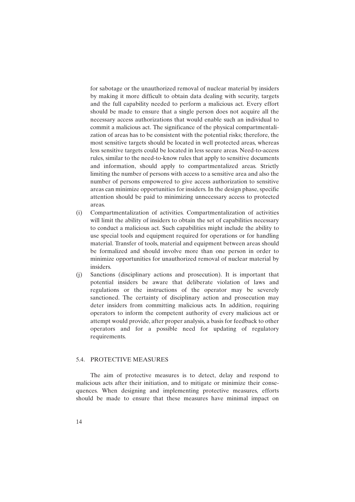for sabotage or the unauthorized removal of nuclear material by insiders by making it more difficult to obtain data dealing with security, targets and the full capability needed to perform a malicious act. Every effort should be made to ensure that a single person does not acquire all the necessary access authorizations that would enable such an individual to commit a malicious act. The significance of the physical compartmentalization of areas has to be consistent with the potential risks; therefore, the most sensitive targets should be located in well protected areas, whereas less sensitive targets could be located in less secure areas. Need-to-access rules, similar to the need-to-know rules that apply to sensitive documents and information, should apply to compartmentalized areas. Strictly limiting the number of persons with access to a sensitive area and also the number of persons empowered to give access authorization to sensitive areas can minimize opportunities for insiders. In the design phase, specific attention should be paid to minimizing unnecessary access to protected areas.

- (i) Compartmentalization of activities. Compartmentalization of activities will limit the ability of insiders to obtain the set of capabilities necessary to conduct a malicious act. Such capabilities might include the ability to use special tools and equipment required for operations or for handling material. Transfer of tools, material and equipment between areas should be formalized and should involve more than one person in order to minimize opportunities for unauthorized removal of nuclear material by insiders.
- (j) Sanctions (disciplinary actions and prosecution). It is important that potential insiders be aware that deliberate violation of laws and regulations or the instructions of the operator may be severely sanctioned. The certainty of disciplinary action and prosecution may deter insiders from committing malicious acts. In addition, requiring operators to inform the competent authority of every malicious act or attempt would provide, after proper analysis, a basis for feedback to other operators and for a possible need for updating of regulatory requirements.

## 5.4. PROTECTIVE MEASURES

The aim of protective measures is to detect, delay and respond to malicious acts after their initiation, and to mitigate or minimize their consequences. When designing and implementing protective measures, efforts should be made to ensure that these measures have minimal impact on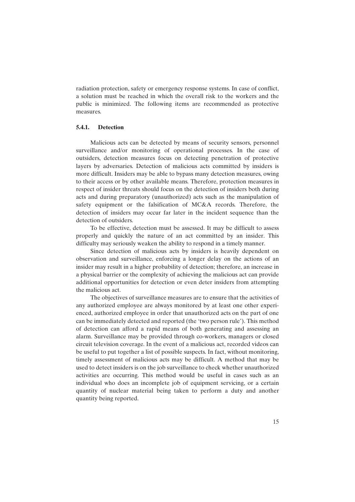radiation protection, safety or emergency response systems. In case of conflict, a solution must be reached in which the overall risk to the workers and the public is minimized. The following items are recommended as protective measures.

## **5.4.1. Detection**

Malicious acts can be detected by means of security sensors, personnel surveillance and/or monitoring of operational processes. In the case of outsiders, detection measures focus on detecting penetration of protective layers by adversaries. Detection of malicious acts committed by insiders is more difficult. Insiders may be able to bypass many detection measures, owing to their access or by other available means. Therefore, protection measures in respect of insider threats should focus on the detection of insiders both during acts and during preparatory (unauthorized) acts such as the manipulation of safety equipment or the falsification of MC&A records. Therefore, the detection of insiders may occur far later in the incident sequence than the detection of outsiders.

To be effective, detection must be assessed. It may be difficult to assess properly and quickly the nature of an act committed by an insider. This difficulty may seriously weaken the ability to respond in a timely manner.

Since detection of malicious acts by insiders is heavily dependent on observation and surveillance, enforcing a longer delay on the actions of an insider may result in a higher probability of detection; therefore, an increase in a physical barrier or the complexity of achieving the malicious act can provide additional opportunities for detection or even deter insiders from attempting the malicious act.

The objectives of surveillance measures are to ensure that the activities of any authorized employee are always monitored by at least one other experienced, authorized employee in order that unauthorized acts on the part of one can be immediately detected and reported (the 'two person rule'). This method of detection can afford a rapid means of both generating and assessing an alarm. Surveillance may be provided through co-workers, managers or closed circuit television coverage. In the event of a malicious act, recorded videos can be useful to put together a list of possible suspects. In fact, without monitoring, timely assessment of malicious acts may be difficult. A method that may be used to detect insiders is on the job surveillance to check whether unauthorized activities are occurring. This method would be useful in cases such as an individual who does an incomplete job of equipment servicing, or a certain quantity of nuclear material being taken to perform a duty and another quantity being reported.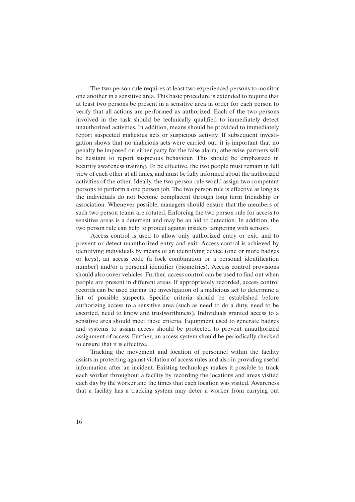The two person rule requires at least two experienced persons to monitor one another in a sensitive area. This basic procedure is extended to require that at least two persons be present in a sensitive area in order for each person to verify that all actions are performed as authorized. Each of the two persons involved in the task should be technically qualified to immediately detect unauthorized activities. In addition, means should be provided to immediately report suspected malicious acts or suspicious activity. If subsequent investigation shows that no malicious acts were carried out, it is important that no penalty be imposed on either party for the false alarm, otherwise partners will be hesitant to report suspicious behaviour. This should be emphasized in security awareness training. To be effective, the two people must remain in full view of each other at all times, and must be fully informed about the authorized activities of the other. Ideally, the two person rule would assign two competent persons to perform a one person job. The two person rule is effective as long as the individuals do not become complacent through long term friendship or association. Whenever possible, managers should ensure that the members of such two person teams are rotated. Enforcing the two person rule for access to sensitive areas is a deterrent and may be an aid to detection. In addition, the two person rule can help to protect against insiders tampering with sensors.

Access control is used to allow only authorized entry or exit, and to prevent or detect unauthorized entry and exit. Access control is achieved by identifying individuals by means of an identifying device (one or more badges or keys), an access code (a lock combination or a personal identification number) and/or a personal identifier (biometrics). Access control provisions should also cover vehicles. Further, access control can be used to find out when people are present in different areas. If appropriately recorded, access control records can be used during the investigation of a malicious act to determine a list of possible suspects. Specific criteria should be established before authorizing access to a sensitive area (such as need to do a duty, need to be escorted, need to know and trustworthiness). Individuals granted access to a sensitive area should meet these criteria. Equipment used to generate badges and systems to assign access should be protected to prevent unauthorized assignment of access. Further, an access system should be periodically checked to ensure that it is effective.

Tracking the movement and location of personnel within the facility assists in protecting against violation of access rules and also in providing useful information after an incident. Existing technology makes it possible to track each worker throughout a facility by recording the locations and areas visited each day by the worker and the times that each location was visited. Awareness that a facility has a tracking system may deter a worker from carrying out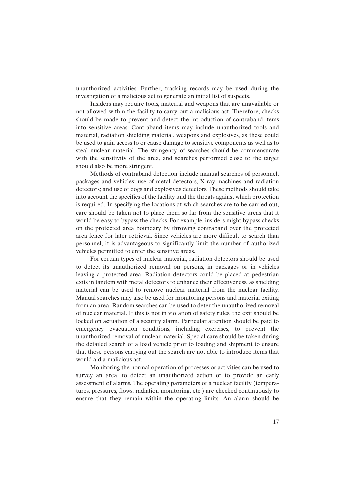unauthorized activities. Further, tracking records may be used during the investigation of a malicious act to generate an initial list of suspects.

Insiders may require tools, material and weapons that are unavailable or not allowed within the facility to carry out a malicious act. Therefore, checks should be made to prevent and detect the introduction of contraband items into sensitive areas. Contraband items may include unauthorized tools and material, radiation shielding material, weapons and explosives, as these could be used to gain access to or cause damage to sensitive components as well as to steal nuclear material. The stringency of searches should be commensurate with the sensitivity of the area, and searches performed close to the target should also be more stringent.

Methods of contraband detection include manual searches of personnel, packages and vehicles; use of metal detectors, X ray machines and radiation detectors; and use of dogs and explosives detectors. These methods should take into account the specifics of the facility and the threats against which protection is required. In specifying the locations at which searches are to be carried out, care should be taken not to place them so far from the sensitive areas that it would be easy to bypass the checks. For example, insiders might bypass checks on the protected area boundary by throwing contraband over the protected area fence for later retrieval. Since vehicles are more difficult to search than personnel, it is advantageous to significantly limit the number of authorized vehicles permitted to enter the sensitive areas.

For certain types of nuclear material, radiation detectors should be used to detect its unauthorized removal on persons, in packages or in vehicles leaving a protected area. Radiation detectors could be placed at pedestrian exits in tandem with metal detectors to enhance their effectiveness, as shielding material can be used to remove nuclear material from the nuclear facility. Manual searches may also be used for monitoring persons and material exiting from an area. Random searches can be used to deter the unauthorized removal of nuclear material. If this is not in violation of safety rules, the exit should be locked on actuation of a security alarm. Particular attention should be paid to emergency evacuation conditions, including exercises, to prevent the unauthorized removal of nuclear material. Special care should be taken during the detailed search of a load vehicle prior to loading and shipment to ensure that those persons carrying out the search are not able to introduce items that would aid a malicious act.

Monitoring the normal operation of processes or activities can be used to survey an area, to detect an unauthorized action or to provide an early assessment of alarms. The operating parameters of a nuclear facility (temperatures, pressures, flows, radiation monitoring, etc.) are checked continuously to ensure that they remain within the operating limits. An alarm should be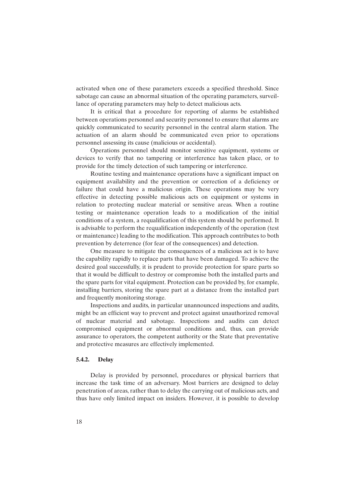activated when one of these parameters exceeds a specified threshold. Since sabotage can cause an abnormal situation of the operating parameters, surveillance of operating parameters may help to detect malicious acts.

It is critical that a procedure for reporting of alarms be established between operations personnel and security personnel to ensure that alarms are quickly communicated to security personnel in the central alarm station. The actuation of an alarm should be communicated even prior to operations personnel assessing its cause (malicious or accidental).

Operations personnel should monitor sensitive equipment, systems or devices to verify that no tampering or interference has taken place, or to provide for the timely detection of such tampering or interference.

Routine testing and maintenance operations have a significant impact on equipment availability and the prevention or correction of a deficiency or failure that could have a malicious origin. These operations may be very effective in detecting possible malicious acts on equipment or systems in relation to protecting nuclear material or sensitive areas. When a routine testing or maintenance operation leads to a modification of the initial conditions of a system, a requalification of this system should be performed. It is advisable to perform the requalification independently of the operation (test or maintenance) leading to the modification. This approach contributes to both prevention by deterrence (for fear of the consequences) and detection.

One measure to mitigate the consequences of a malicious act is to have the capability rapidly to replace parts that have been damaged. To achieve the desired goal successfully, it is prudent to provide protection for spare parts so that it would be difficult to destroy or compromise both the installed parts and the spare parts for vital equipment. Protection can be provided by, for example, installing barriers, storing the spare part at a distance from the installed part and frequently monitoring storage.

Inspections and audits, in particular unannounced inspections and audits, might be an efficient way to prevent and protect against unauthorized removal of nuclear material and sabotage. Inspections and audits can detect compromised equipment or abnormal conditions and, thus, can provide assurance to operators, the competent authority or the State that preventative and protective measures are effectively implemented.

## **5.4.2. Delay**

Delay is provided by personnel, procedures or physical barriers that increase the task time of an adversary. Most barriers are designed to delay penetration of areas, rather than to delay the carrying out of malicious acts, and thus have only limited impact on insiders. However, it is possible to develop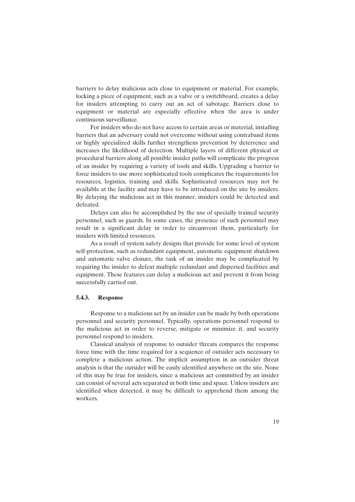barriers to delay malicious acts close to equipment or material. For example, locking a piece of equipment, such as a valve or a switchboard, creates a delay for insiders attempting to carry out an act of sabotage. Barriers close to equipment or material are especially effective when the area is under continuous surveillance.

For insiders who do not have access to certain areas or material, installing barriers that an adversary could not overcome without using contraband items or highly specialized skills further strengthens prevention by deterrence and increases the likelihood of detection. Multiple layers of different physical or procedural barriers along all possible insider paths will complicate the progress of an insider by requiring a variety of tools and skills. Upgrading a barrier to force insiders to use more sophisticated tools complicates the requirements for resources, logistics, training and skills. Sophisticated resources may not be available at the facility and may have to be introduced on the site by insiders. By delaying the malicious act in this manner, insiders could be detected and defeated.

Delays can also be accomplished by the use of specially trained security personnel, such as guards. In some cases, the presence of such personnel may result in a significant delay in order to circumvent them, particularly for insiders with limited resources.

As a result of system safety designs that provide for some level of system self-protection, such as redundant equipment, automatic equipment shutdown and automatic valve closure, the task of an insider may be complicated by requiring the insider to defeat multiple redundant and dispersed facilities and equipment. These features can delay a malicious act and prevent it from being successfully carried out.

### **5.4.3. Response**

Response to a malicious act by an insider can be made by both operations personnel and security personnel. Typically, operations personnel respond to the malicious act in order to reverse, mitigate or minimize it, and security personnel respond to insiders.

Classical analysis of response to outsider threats compares the response force time with the time required for a sequence of outsider acts necessary to complete a malicious action. The implicit assumption in an outsider threat analysis is that the outsider will be easily identified anywhere on the site. None of this may be true for insiders, since a malicious act committed by an insider can consist of several acts separated in both time and space. Unless insiders are identified when detected, it may be difficult to apprehend them among the workers.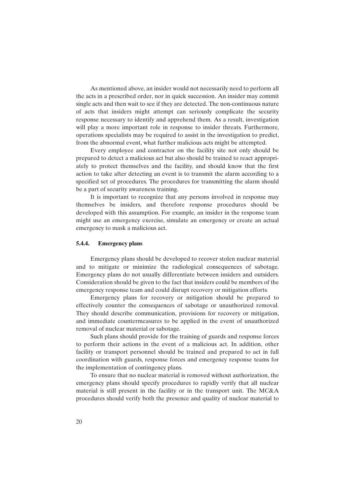As mentioned above, an insider would not necessarily need to perform all the acts in a prescribed order, nor in quick succession. An insider may commit single acts and then wait to see if they are detected. The non-continuous nature of acts that insiders might attempt can seriously complicate the security response necessary to identify and apprehend them. As a result, investigation will play a more important role in response to insider threats. Furthermore, operations specialists may be required to assist in the investigation to predict, from the abnormal event, what further malicious acts might be attempted.

Every employee and contractor on the facility site not only should be prepared to detect a malicious act but also should be trained to react appropriately to protect themselves and the facility, and should know that the first action to take after detecting an event is to transmit the alarm according to a specified set of procedures. The procedures for transmitting the alarm should be a part of security awareness training.

It is important to recognize that any persons involved in response may themselves be insiders, and therefore response procedures should be developed with this assumption. For example, an insider in the response team might use an emergency exercise, simulate an emergency or create an actual emergency to mask a malicious act.

## **5.4.4. Emergency plans**

Emergency plans should be developed to recover stolen nuclear material and to mitigate or minimize the radiological consequences of sabotage. Emergency plans do not usually differentiate between insiders and outsiders. Consideration should be given to the fact that insiders could be members of the emergency response team and could disrupt recovery or mitigation efforts.

Emergency plans for recovery or mitigation should be prepared to effectively counter the consequences of sabotage or unauthorized removal. They should describe communication, provisions for recovery or mitigation, and immediate countermeasures to be applied in the event of unauthorized removal of nuclear material or sabotage.

Such plans should provide for the training of guards and response forces to perform their actions in the event of a malicious act. In addition, other facility or transport personnel should be trained and prepared to act in full coordination with guards, response forces and emergency response teams for the implementation of contingency plans.

To ensure that no nuclear material is removed without authorization, the emergency plans should specify procedures to rapidly verify that all nuclear material is still present in the facility or in the transport unit. The MC&A procedures should verify both the presence and quality of nuclear material to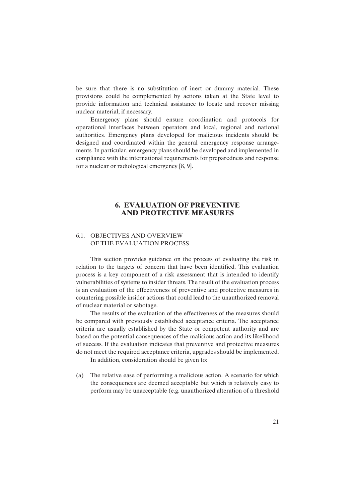be sure that there is no substitution of inert or dummy material. These provisions could be complemented by actions taken at the State level to provide information and technical assistance to locate and recover missing nuclear material, if necessary.

Emergency plans should ensure coordination and protocols for operational interfaces between operators and local, regional and national authorities. Emergency plans developed for malicious incidents should be designed and coordinated within the general emergency response arrangements. In particular, emergency plans should be developed and implemented in compliance with the international requirements for preparedness and response for a nuclear or radiological emergency [8, 9].

## **6. EVALUATION OF PREVENTIVE AND PROTECTIVE MEASURES**

## 6.1. OBJECTIVES AND OVERVIEW OF THE EVALUATION PROCESS

This section provides guidance on the process of evaluating the risk in relation to the targets of concern that have been identified. This evaluation process is a key component of a risk assessment that is intended to identify vulnerabilities of systems to insider threats. The result of the evaluation process is an evaluation of the effectiveness of preventive and protective measures in countering possible insider actions that could lead to the unauthorized removal of nuclear material or sabotage.

The results of the evaluation of the effectiveness of the measures should be compared with previously established acceptance criteria. The acceptance criteria are usually established by the State or competent authority and are based on the potential consequences of the malicious action and its likelihood of success. If the evaluation indicates that preventive and protective measures do not meet the required acceptance criteria, upgrades should be implemented.

In addition, consideration should be given to:

(a) The relative ease of performing a malicious action. A scenario for which the consequences are deemed acceptable but which is relatively easy to perform may be unacceptable (e.g. unauthorized alteration of a threshold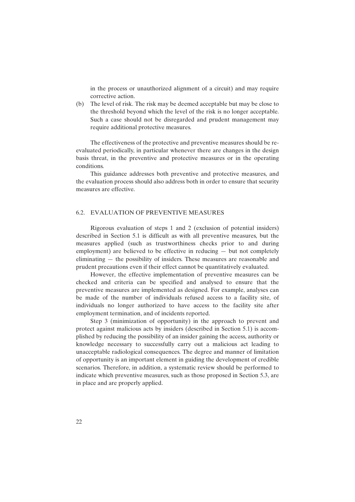in the process or unauthorized alignment of a circuit) and may require corrective action.

(b) The level of risk. The risk may be deemed acceptable but may be close to the threshold beyond which the level of the risk is no longer acceptable. Such a case should not be disregarded and prudent management may require additional protective measures.

The effectiveness of the protective and preventive measures should be reevaluated periodically, in particular whenever there are changes in the design basis threat, in the preventive and protective measures or in the operating conditions.

This guidance addresses both preventive and protective measures, and the evaluation process should also address both in order to ensure that security measures are effective.

#### 6.2. EVALUATION OF PREVENTIVE MEASURES

Rigorous evaluation of steps 1 and 2 (exclusion of potential insiders) described in Section 5.1 is difficult as with all preventive measures, but the measures applied (such as trustworthiness checks prior to and during employment) are believed to be effective in reducing — but not completely eliminating — the possibility of insiders. These measures are reasonable and prudent precautions even if their effect cannot be quantitatively evaluated.

However, the effective implementation of preventive measures can be checked and criteria can be specified and analysed to ensure that the preventive measures are implemented as designed. For example, analyses can be made of the number of individuals refused access to a facility site, of individuals no longer authorized to have access to the facility site after employment termination, and of incidents reported.

Step 3 (minimization of opportunity) in the approach to prevent and protect against malicious acts by insiders (described in Section 5.1) is accomplished by reducing the possibility of an insider gaining the access, authority or knowledge necessary to successfully carry out a malicious act leading to unacceptable radiological consequences. The degree and manner of limitation of opportunity is an important element in guiding the development of credible scenarios. Therefore, in addition, a systematic review should be performed to indicate which preventive measures, such as those proposed in Section 5.3, are in place and are properly applied.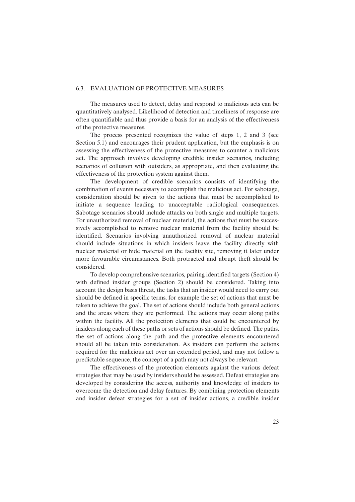#### 6.3. EVALUATION OF PROTECTIVE MEASURES

The measures used to detect, delay and respond to malicious acts can be quantitatively analysed. Likelihood of detection and timeliness of response are often quantifiable and thus provide a basis for an analysis of the effectiveness of the protective measures.

The process presented recognizes the value of steps 1, 2 and 3 (see Section 5.1) and encourages their prudent application, but the emphasis is on assessing the effectiveness of the protective measures to counter a malicious act. The approach involves developing credible insider scenarios, including scenarios of collusion with outsiders, as appropriate, and then evaluating the effectiveness of the protection system against them.

The development of credible scenarios consists of identifying the combination of events necessary to accomplish the malicious act. For sabotage, consideration should be given to the actions that must be accomplished to initiate a sequence leading to unacceptable radiological consequences. Sabotage scenarios should include attacks on both single and multiple targets. For unauthorized removal of nuclear material, the actions that must be successively accomplished to remove nuclear material from the facility should be identified. Scenarios involving unauthorized removal of nuclear material should include situations in which insiders leave the facility directly with nuclear material or hide material on the facility site, removing it later under more favourable circumstances. Both protracted and abrupt theft should be considered.

To develop comprehensive scenarios, pairing identified targets (Section 4) with defined insider groups (Section 2) should be considered. Taking into account the design basis threat, the tasks that an insider would need to carry out should be defined in specific terms, for example the set of actions that must be taken to achieve the goal. The set of actions should include both general actions and the areas where they are performed. The actions may occur along paths within the facility. All the protection elements that could be encountered by insiders along each of these paths or sets of actions should be defined. The paths, the set of actions along the path and the protective elements encountered should all be taken into consideration. As insiders can perform the actions required for the malicious act over an extended period, and may not follow a predictable sequence, the concept of a path may not always be relevant.

The effectiveness of the protection elements against the various defeat strategies that may be used by insiders should be assessed. Defeat strategies are developed by considering the access, authority and knowledge of insiders to overcome the detection and delay features. By combining protection elements and insider defeat strategies for a set of insider actions, a credible insider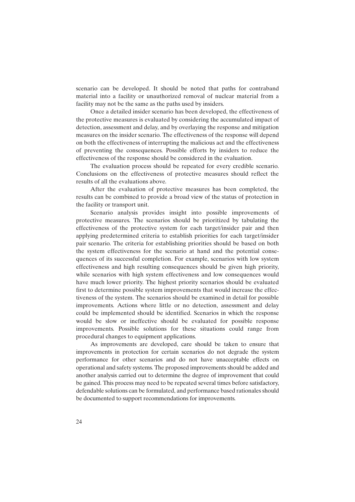scenario can be developed. It should be noted that paths for contraband material into a facility or unauthorized removal of nuclear material from a facility may not be the same as the paths used by insiders.

Once a detailed insider scenario has been developed, the effectiveness of the protective measures is evaluated by considering the accumulated impact of detection, assessment and delay, and by overlaying the response and mitigation measures on the insider scenario. The effectiveness of the response will depend on both the effectiveness of interrupting the malicious act and the effectiveness of preventing the consequences. Possible efforts by insiders to reduce the effectiveness of the response should be considered in the evaluation.

The evaluation process should be repeated for every credible scenario. Conclusions on the effectiveness of protective measures should reflect the results of all the evaluations above.

After the evaluation of protective measures has been completed, the results can be combined to provide a broad view of the status of protection in the facility or transport unit.

Scenario analysis provides insight into possible improvements of protective measures. The scenarios should be prioritized by tabulating the effectiveness of the protective system for each target/insider pair and then applying predetermined criteria to establish priorities for each target/insider pair scenario. The criteria for establishing priorities should be based on both the system effectiveness for the scenario at hand and the potential consequences of its successful completion. For example, scenarios with low system effectiveness and high resulting consequences should be given high priority, while scenarios with high system effectiveness and low consequences would have much lower priority. The highest priority scenarios should be evaluated first to determine possible system improvements that would increase the effectiveness of the system. The scenarios should be examined in detail for possible improvements. Actions where little or no detection, assessment and delay could be implemented should be identified. Scenarios in which the response would be slow or ineffective should be evaluated for possible response improvements. Possible solutions for these situations could range from procedural changes to equipment applications.

As improvements are developed, care should be taken to ensure that improvements in protection for certain scenarios do not degrade the system performance for other scenarios and do not have unacceptable effects on operational and safety systems. The proposed improvements should be added and another analysis carried out to determine the degree of improvement that could be gained. This process may need to be repeated several times before satisfactory, defendable solutions can be formulated, and performance based rationales should be documented to support recommendations for improvements.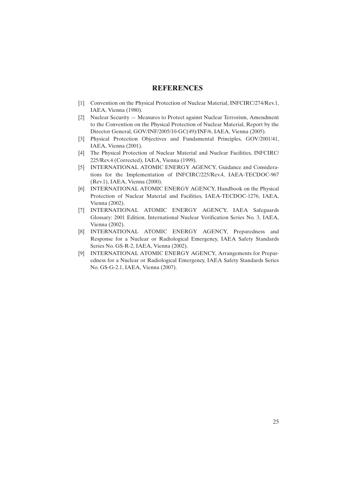## **REFERENCES**

- [1] Convention on the Physical Protection of Nuclear Material, INFCIRC/274/Rev.1, IAEA, Vienna (1980).
- [2] Nuclear Security Measures to Protect against Nuclear Terrorism, Amendment to the Convention on the Physical Protection of Nuclear Material, Report by the Director General, GOV/INF/2005/10-GC(49)/INF/6, IAEA, Vienna (2005).
- [3] Physical Protection Objectives and Fundamental Principles, GOV/2001/41, IAEA, Vienna (2001).
- [4] The Physical Protection of Nuclear Material and Nuclear Facilities, INFCIRC/ 225/Rev.4 (Corrected), IAEA, Vienna (1999).
- [5] INTERNATIONAL ATOMIC ENERGY AGENCY, Guidance and Considerations for the Implementation of INFCIRC/225/Rev.4, IAEA-TECDOC-967 (Rev.1), IAEA, Vienna (2000).
- [6] INTERNATIONAL ATOMIC ENERGY AGENCY, Handbook on the Physical Protection of Nuclear Material and Facilities, IAEA-TECDOC-1276, IAEA, Vienna (2002).
- [7] INTERNATIONAL ATOMIC ENERGY AGENCY, IAEA Safeguards Glossary: 2001 Edition, International Nuclear Verification Series No. 3, IAEA, Vienna (2002).
- [8] INTERNATIONAL ATOMIC ENERGY AGENCY, Preparedness and Response for a Nuclear or Radiological Emergency, IAEA Safety Standards Series No. GS-R-2, IAEA, Vienna (2002).
- [9] INTERNATIONAL ATOMIC ENERGY AGENCY, Arrangements for Preparedness for a Nuclear or Radiological Emergency, IAEA Safety Standards Series No. GS-G-2.1, IAEA, Vienna (2007).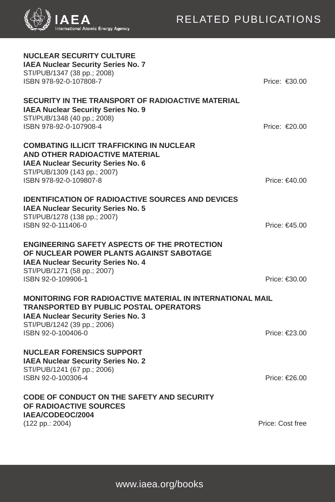

| <b>NUCLEAR SECURITY CULTURE</b><br><b>IAEA Nuclear Security Series No. 7</b><br>STI/PUB/1347 (38 pp.; 2008)<br>ISBN 978-92-0-107808-7                                                                                                          | Price: €30.00           |  |  |
|------------------------------------------------------------------------------------------------------------------------------------------------------------------------------------------------------------------------------------------------|-------------------------|--|--|
| SECURITY IN THE TRANSPORT OF RADIOACTIVE MATERIAL<br><b>IAEA Nuclear Security Series No. 9</b><br>STI/PUB/1348 (40 pp.; 2008)<br>ISBN 978-92-0-107908-4                                                                                        | Price: €20.00           |  |  |
| <b>COMBATING ILLICIT TRAFFICKING IN NUCLEAR</b><br>AND OTHER RADIOACTIVE MATERIAL<br><b>IAEA Nuclear Security Series No. 6</b><br>STI/PUB/1309 (143 pp.; 2007)                                                                                 |                         |  |  |
| ISBN 978-92-0-109807-8                                                                                                                                                                                                                         | Price: €40.00           |  |  |
| <b>IDENTIFICATION OF RADIOACTIVE SOURCES AND DEVICES</b><br><b>IAEA Nuclear Security Series No. 5</b><br>STI/PUB/1278 (138 pp.; 2007)<br>ISBN 92-0-111406-0                                                                                    | Price: €45.00           |  |  |
| <b>ENGINEERING SAFETY ASPECTS OF THE PROTECTION</b><br>OF NUCLEAR POWER PLANTS AGAINST SABOTAGE<br><b>IAEA Nuclear Security Series No. 4</b><br>STI/PUB/1271 (58 pp.; 2007)                                                                    |                         |  |  |
| ISBN 92-0-109906-1                                                                                                                                                                                                                             | Price: $\epsilon$ 30.00 |  |  |
| <b>MONITORING FOR RADIOACTIVE MATERIAL IN INTERNATIONAL MAIL</b><br><b>TRANSPORTED BY PUBLIC POSTAL OPERATORS</b><br><b>IAEA Nuclear Security Series No. 3</b><br>STI/PUB/1242 (39 pp.; 2006)<br>ISBN 92-0-100406-0<br>Price: $\epsilon$ 23.00 |                         |  |  |
|                                                                                                                                                                                                                                                |                         |  |  |
| <b>NUCLEAR FORENSICS SUPPORT</b><br><b>IAEA Nuclear Security Series No. 2</b><br>STI/PUB/1241 (67 pp.; 2006)<br>ISBN 92-0-100306-4                                                                                                             | Price: €26.00           |  |  |
| <b>CODE OF CONDUCT ON THE SAFETY AND SECURITY</b><br>OF RADIOACTIVE SOURCES<br>IAEA/CODEOC/2004                                                                                                                                                |                         |  |  |
| (122 pp.: 2004)                                                                                                                                                                                                                                | Price: Cost free        |  |  |